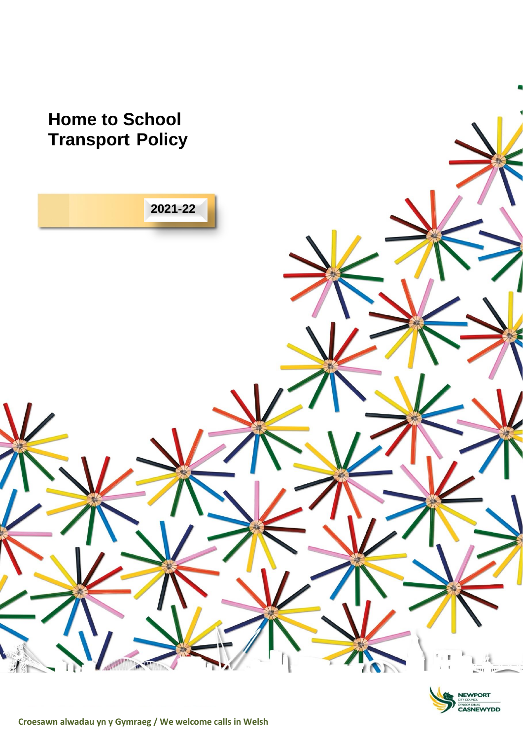

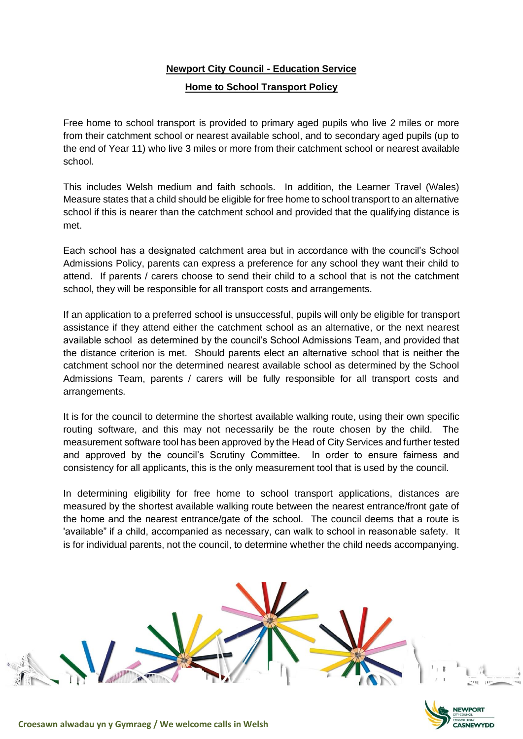## **Newport City Council - Education Service Home to School Transport Policy**

Free home to school transport is provided to primary aged pupils who live 2 miles or more from their catchment school or nearest available school, and to secondary aged pupils (up to the end of Year 11) who live 3 miles or more from their catchment school or nearest available school.

This includes Welsh medium and faith schools. In addition, the Learner Travel (Wales) Measure states that a child should be eligible for free home to school transport to an alternative school if this is nearer than the catchment school and provided that the qualifying distance is met.

Each school has a designated catchment area but in accordance with the council's School Admissions Policy, parents can express a preference for any school they want their child to attend. If parents / carers choose to send their child to a school that is not the catchment school, they will be responsible for all transport costs and arrangements.

If an application to a preferred school is unsuccessful, pupils will only be eligible for transport assistance if they attend either the catchment school as an alternative, or the next nearest available school as determined by the council's School Admissions Team, and provided that the distance criterion is met. Should parents elect an alternative school that is neither the catchment school nor the determined nearest available school as determined by the School Admissions Team, parents / carers will be fully responsible for all transport costs and arrangements.

It is for the council to determine the shortest available walking route, using their own specific routing software, and this may not necessarily be the route chosen by the child. The measurement software tool has been approved by the Head of City Services and further tested and approved by the council's Scrutiny Committee. In order to ensure fairness and consistency for all applicants, this is the only measurement tool that is used by the council.

In determining eligibility for free home to school transport applications, distances are measured by the shortest available walking route between the nearest entrance/front gate of the home and the nearest entrance/gate of the school. The council deems that a route is 'available" if a child, accompanied as necessary, can walk to school in reasonable safety. It is for individual parents, not the council, to determine whether the child needs accompanying.



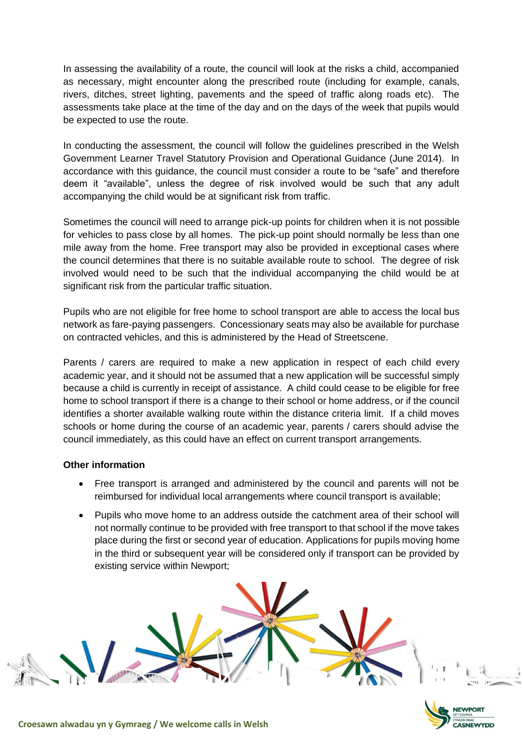In assessing the availability of a route, the council will look at the risks a child, accompanied as necessary, might encounter along the prescribed route (including for example, canals, rivers, ditches, street lighting, pavements and the speed of traffic along roads etc). The assessments take place at the time of the day and on the days of the week that pupils would be expected to use the route.

In conducting the assessment, the council will follow the guidelines prescribed in the Welsh Government Learner Travel Statutory Provision and Operational Guidance (June 2014). In accordance with this guidance, the council must consider a route to be "safe" and therefore deem it "available", unless the degree of risk involved would be such that any adult accompanying the child would be at significant risk from traffic.

Sometimes the council will need to arrange pick-up points for children when it is not possible for vehicles to pass close by all homes. The pick-up point should normally be less than one mile away from the home. Free transport may also be provided in exceptional cases where the council determines that there is no suitable available route to school. The degree of risk involved would need to be such that the individual accompanying the child would be at significant risk from the particular traffic situation.

Pupils who are not eligible for free home to school transport are able to access the local bus network as fare-paying passengers. Concessionary seats may also be available for purchase on contracted vehicles, and this is administered by the Head of Streetscene.

Parents / carers are required to make a new application in respect of each child every academic year, and it should not be assumed that a new application will be successful simply because a child is currently in receipt of assistance. A child could cease to be eligible for free home to school transport if there is a change to their school or home address, or if the council identifies a shorter available walking route within the distance criteria limit. If a child moves schools or home during the course of an academic year, parents / carers should advise the council immediately, as this could have an effect on current transport arrangements.

## **Other information**

- Free transport is arranged and administered by the council and parents will not be reimbursed for individual local arrangements where council transport is available;
- Pupils who move home to an address outside the catchment area of their school will not normally continue to be provided with free transport to that school if the move takes place during the first or second year of education. Applications for pupils moving home in the third or subsequent year will be considered only if transport can be provided by existing service within Newport;